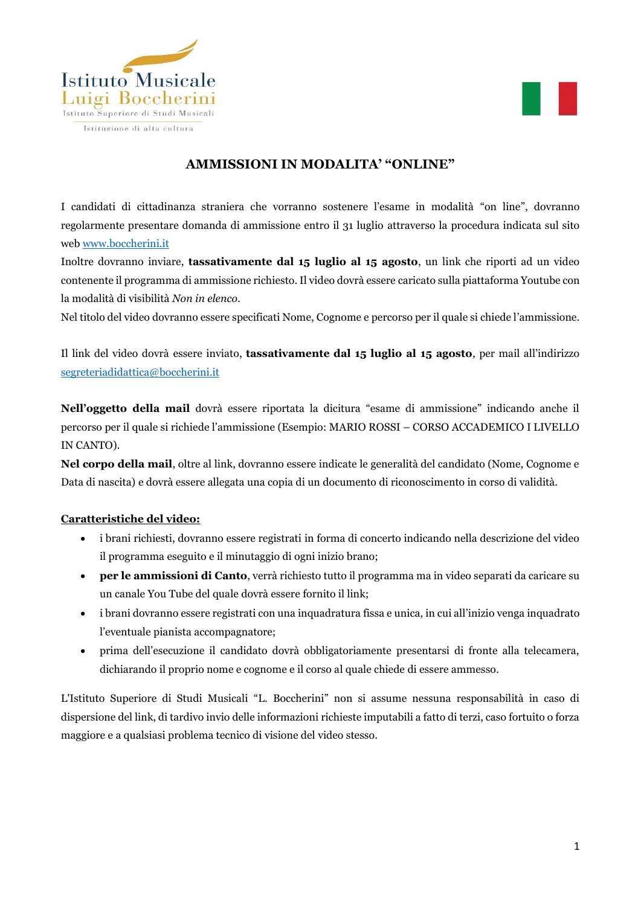



# **AMMISSIONI IN MODALITA' "ONLINE"**

I candidati di cittadinanza straniera che vorranno sostenere l'esame in modalità "on line", dovranno regolarmente presentare domanda di ammissione entro il 31 luglio attraverso la procedura indicata sul sito web [www.boccherini.it](http://www.boccherini.it/)

Inoltre dovranno inviare, **tassativamente dal 15 luglio al 15 agosto**, un link che riporti ad un video contenente il programma di ammissione richiesto. Il video dovrà essere caricato sulla piattaforma Youtube con la modalità di visibilità *Non in elenco.*

Nel titolo del video dovranno essere specificati Nome, Cognome e percorso per il quale si chiede l'ammissione.

Il link del video dovrà essere inviato, **tassativamente dal 15 luglio al 15 agosto**, per mail all'indirizzo [segreteriadidattica@boccherini.it](mailto:segreteriadidattica@boccherini.it)

**Nell'oggetto della mail** dovrà essere riportata la dicitura "esame di ammissione" indicando anche il percorso per il quale si richiede l'ammissione (Esempio: MARIO ROSSI – CORSO ACCADEMICO I LIVELLO IN CANTO).

**Nel corpo della mail**, oltre al link, dovranno essere indicate le generalità del candidato (Nome, Cognome e Data di nascita) e dovrà essere allegata una copia di un documento di riconoscimento in corso di validità.

#### **Caratteristiche del video:**

- i brani richiesti, dovranno essere registrati in forma di concerto indicando nella descrizione del video il programma eseguito e il minutaggio di ogni inizio brano;
- **per le ammissioni di Canto**, verrà richiesto tutto il programma ma in video separati da caricare su un canale You Tube del quale dovrà essere fornito il link;
- i brani dovranno essere registrati con una inquadratura fissa e unica, in cui all'inizio venga inquadrato l'eventuale pianista accompagnatore;
- prima dell'esecuzione il candidato dovrà obbligatoriamente presentarsi di fronte alla telecamera, dichiarando il proprio nome e cognome e il corso al quale chiede di essere ammesso.

L'Istituto Superiore di Studi Musicali "L. Boccherini" non si assume nessuna responsabilità in caso di dispersione del link, di tardivo invio delle informazioni richieste imputabili a fatto di terzi, caso fortuito o forza maggiore e a qualsiasi problema tecnico di visione del video stesso.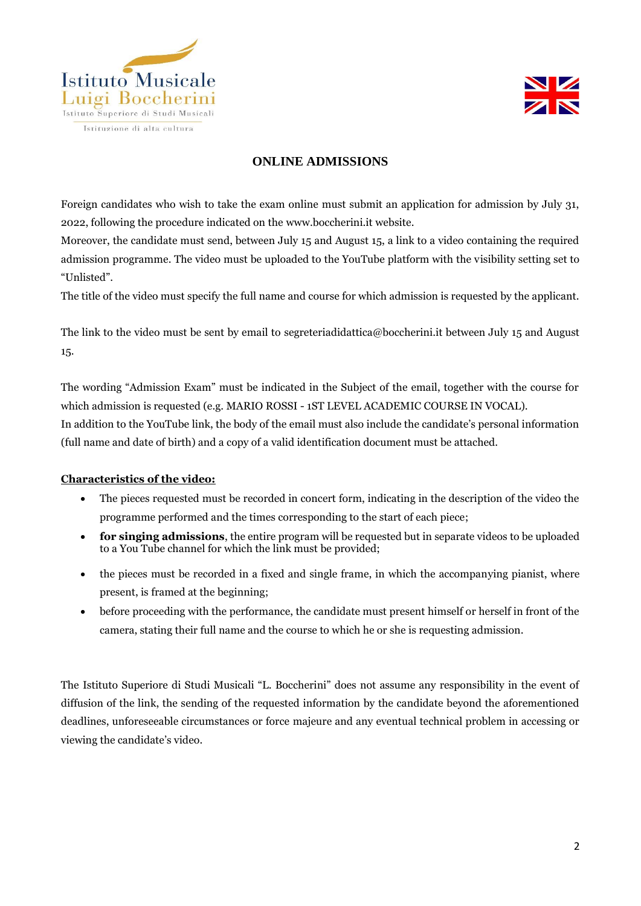



### **ONLINE ADMISSIONS**

Foreign candidates who wish to take the exam online must submit an application for admission by July 31, 2022, following the procedure indicated on the [www.boccherini.it](http://www.boccherini.it/) website.

Moreover, the candidate must send, between July 15 and August 15, a link to a video containing the required admission programme. The video must be uploaded to the YouTube platform with the visibility setting set to "Unlisted".

The title of the video must specify the full name and course for which admission is requested by the applicant.

The link to the video must be sent by email to [segreteriadidattica@boccherini.it](mailto:segreteriadidattica@boccherini.it) between July 15 and August 15.

The wording "Admission Exam" must be indicated in the Subject of the email, together with the course for which admission is requested (e.g. MARIO ROSSI - 1ST LEVEL ACADEMIC COURSE IN VOCAL). In addition to the YouTube link, the body of the email must also include the candidate's personal information (full name and date of birth) and a copy of a valid identification document must be attached.

#### **Characteristics of the video:**

- The pieces requested must be recorded in concert form, indicating in the description of the video the programme performed and the times corresponding to the start of each piece;
- **for singing admissions**, the entire program will be requested but in separate videos to be uploaded to a You Tube channel for which the link must be provided;
- the pieces must be recorded in a fixed and single frame, in which the accompanying pianist, where present, is framed at the beginning;
- before proceeding with the performance, the candidate must present himself or herself in front of the camera, stating their full name and the course to which he or she is requesting admission.

The Istituto Superiore di Studi Musicali "L. Boccherini" does not assume any responsibility in the event of diffusion of the link, the sending of the requested information by the candidate beyond the aforementioned deadlines, unforeseeable circumstances or force majeure and any eventual technical problem in accessing or viewing the candidate's video.